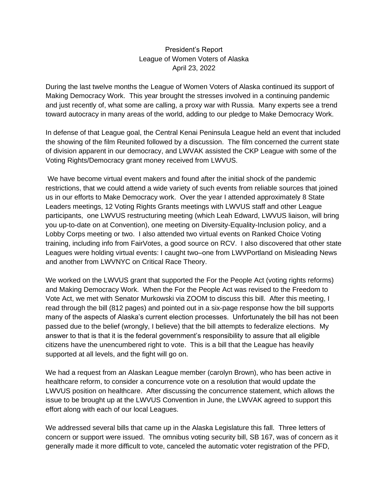## President's Report League of Women Voters of Alaska April 23, 2022

During the last twelve months the League of Women Voters of Alaska continued its support of Making Democracy Work. This year brought the stresses involved in a continuing pandemic and just recently of, what some are calling, a proxy war with Russia. Many experts see a trend toward autocracy in many areas of the world, adding to our pledge to Make Democracy Work.

In defense of that League goal, the Central Kenai Peninsula League held an event that included the showing of the film Reunited followed by a discussion. The film concerned the current state of division apparent in our democracy, and LWVAK assisted the CKP League with some of the Voting Rights/Democracy grant money received from LWVUS.

We have become virtual event makers and found after the initial shock of the pandemic restrictions, that we could attend a wide variety of such events from reliable sources that joined us in our efforts to Make Democracy work. Over the year I attended approximately 8 State Leaders meetings, 12 Voting Rights Grants meetings with LWVUS staff and other League participants, one LWVUS restructuring meeting (which Leah Edward, LWVUS liaison, will bring you up-to-date on at Convention), one meeting on Diversity-Equality-Inclusion policy, and a Lobby Corps meeting or two. I also attended two virtual events on Ranked Choice Voting training, including info from FairVotes, a good source on RCV. I also discovered that other state Leagues were holding virtual events: I caught two–one from LWVPortland on Misleading News and another from LWVNYC on Critical Race Theory.

We worked on the LWVUS grant that supported the For the People Act (voting rights reforms) and Making Democracy Work. When the For the People Act was revised to the Freedom to Vote Act, we met with Senator Murkowski via ZOOM to discuss this bill. After this meeting, I read through the bill (812 pages) and pointed out in a six-page response how the bill supports many of the aspects of Alaska's current election processes. Unfortunately the bill has not been passed due to the belief (wrongly, I believe) that the bill attempts to federalize elections. My answer to that is that it is the federal government's responsibility to assure that all eligible citizens have the unencumbered right to vote. This is a bill that the League has heavily supported at all levels, and the fight will go on.

We had a request from an Alaskan League member (carolyn Brown), who has been active in healthcare reform, to consider a concurrence vote on a resolution that would update the LWVUS position on healthcare. After discussing the concurrence statement, which allows the issue to be brought up at the LWVUS Convention in June, the LWVAK agreed to support this effort along with each of our local Leagues.

We addressed several bills that came up in the Alaska Legislature this fall. Three letters of concern or support were issued. The omnibus voting security bill, SB 167, was of concern as it generally made it more difficult to vote, canceled the automatic voter registration of the PFD,